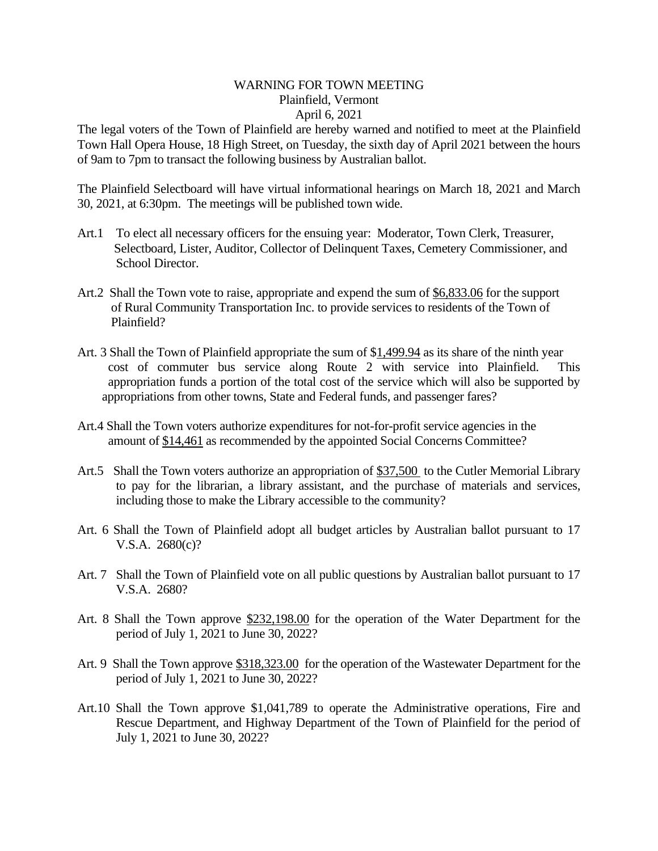## WARNING FOR TOWN MEETING Plainfield, Vermont April 6, 2021

The legal voters of the Town of Plainfield are hereby warned and notified to meet at the Plainfield Town Hall Opera House, 18 High Street, on Tuesday, the sixth day of April 2021 between the hours of 9am to 7pm to transact the following business by Australian ballot.

The Plainfield Selectboard will have virtual informational hearings on March 18, 2021 and March 30, 2021, at 6:30pm. The meetings will be published town wide.

- Art.1 To elect all necessary officers for the ensuing year: Moderator, Town Clerk, Treasurer, Selectboard, Lister, Auditor, Collector of Delinquent Taxes, Cemetery Commissioner, and School Director.
- Art.2 Shall the Town vote to raise, appropriate and expend the sum of \$6,833.06 for the support of Rural Community Transportation Inc. to provide services to residents of the Town of Plainfield?
- Art. 3 Shall the Town of Plainfield appropriate the sum of \$1,499.94 as its share of the ninth year cost of commuter bus service along Route 2 with service into Plainfield. This appropriation funds a portion of the total cost of the service which will also be supported by appropriations from other towns, State and Federal funds, and passenger fares?
- Art.4 Shall the Town voters authorize expenditures for not-for-profit service agencies in the amount of \$14,461 as recommended by the appointed Social Concerns Committee?
- Art.5 Shall the Town voters authorize an appropriation of \$37,500 to the Cutler Memorial Library to pay for the librarian, a library assistant, and the purchase of materials and services, including those to make the Library accessible to the community?
- Art. 6 Shall the Town of Plainfield adopt all budget articles by Australian ballot pursuant to 17 V.S.A. 2680(c)?
- Art. 7 Shall the Town of Plainfield vote on all public questions by Australian ballot pursuant to 17 V.S.A. 2680?
- Art. 8 Shall the Town approve \$232,198.00 for the operation of the Water Department for the period of July 1, 2021 to June 30, 2022?
- Art. 9 Shall the Town approve \$318,323.00 for the operation of the Wastewater Department for the period of July 1, 2021 to June 30, 2022?
- Art.10 Shall the Town approve \$1,041,789 to operate the Administrative operations, Fire and Rescue Department, and Highway Department of the Town of Plainfield for the period of July 1, 2021 to June 30, 2022?